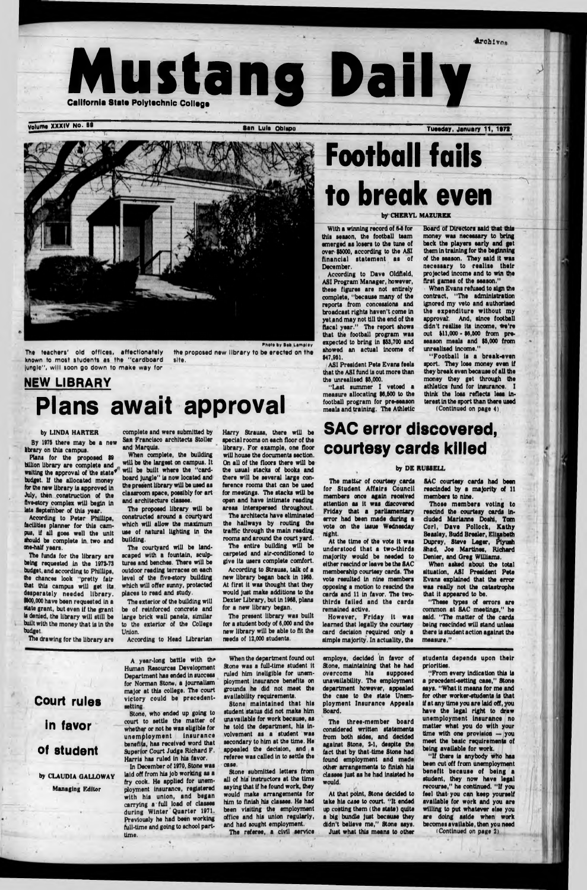**Archives** 



**Mustang Daily** 

# **Football fails to break even**

With a winning record of 6-8 for this aeason, the football team emerged as losers to the tune of over 98000, according to the ASI financial statement as of December.

#### by CHERYL MAZUREK

According to Dave Oldfield, ASI Program Manager, however, these figures are not entirely complete, "because many of the reports from concessions and broadcast rights haven't come In yet and may not till the end of the fiscal year." The report shows that the football program was expected to bring In 983,700 and showed an actual Income of 947,081.

Plans for the proposed \$9 billion library are complete and , waiting the approval of the state\* budget. If the allocated money for the new library is approved in July, then construction of the five-story complex will begin in late September of this year.

ASI President Pete Evans feels that the ASI fund Is out more than the unrealised 98,000.

"Last summer I vetoed a measure allocating 96,800 to the football program for pre-season meals and training. The Athletic

The teachers' old offices, affectionately known to most students as the "cardboard jungle", will soon go down to make way for

> **When complete, the building will be the largest on campus.** It **will be built where the "cardboard jungle" Is now located and** the present library will be used as **classroom space, possibly for art** and architecture classes.



the proposed new library to be erected on the site.

## **NEW LIBRARY Plans await approval**

#### by LINDA HARTER

By 1078 there may be a new library on this campus.

> The proposed library will be constructed around a courtyard which will allow the maximum use of natural lighting in the building.

According to Peter Phillips, facilities planner for this campus, If all goes well the unit diould be complete In two and one-half years.

carpeted and air-conditioned to give its users complete comfort.

The funds for the library are being requested In the 1073-73 budget, and according to Phillips, the chances look "pretty fair that this campus will get Its

> The present library was built for a student body of 6,000 and the new library will be able to fit the needs of 12,000 students.

desperately needed library. 9800,000 have been requested In a Rate grant, but even If the grant Is denied, the library will still be built with the money that Is In the budget.

The drawing for the library are

The matter of courtesy cards for Student Affairs Council members once again received attention as It was discovered Friday that a parliamentary error had been made during a vote on the Issue Wednesday night.

complete and were submitted by San Francisco architects Stoller and Marquis.

> When the department found out Stone was a full-time student it ruled him Ineligible for unemployment Insurance benefits on grounds he did not meet the availability requirements.

The courtyard will be landscaped with a fountain, sculptures and benches. There will be outdoor reading terraces on each level of the five-story building which will offer sunny, protected places to read and study. The exterior of the building will be of reinforced concrete and large brick wall panels, similar

> Stone maintained that his student status did not make him unavailable for work because, as he told the department, his involvement as a student was secondary to him at the time. He appealed the decision, and a referee was called in to settle the CBM.

to the exterior of the College

Union.

According to Head Librarian

Stone submitted letters from all of his instructors at the time saying that if he found work, they would make arrangements for him to finish his classes. He had been visiting the employment office and his union regularly, and had sought employment. The referee, a civil service employe, decided In favor of Stone, maintaining that he had overcome his supposed unavailability. The employment department however, appealed the case to the state Unem-

Harry Strauss, there will be special rooms on each floor of the library. For example, one floor will house the documents section. On all of the floors there will be the usual stacks of books and there will be several large conference rooms that can be used for meetings. The stacks will be open and have Intimate reading areas Interspersed throughout.

The architects have eliminated the hallways by routing the traffic through the main reading rooms and around the court yard. The entire building will be

According to Strauss, talk of a new library began back In 1068. At first It was thought that they would Just make additions to the Dexter Library, but In 1066, plans for a new library began.

## **SAC error discovered, courtesy cards killed**

#### by DE RUSSELL

Those members voting to rescind the courtesy cards Included Marianne Doshl, Tom Corl, Dave Pollock, Kathy Beasley, Budd Bresler, Elizabeth Duprey, Steve Leger, Piyush Siad, Joe Martinas, Richard Denier, and Greg Williams.

"These types of errors are common at SAC meetings," he said. "The matter of the cards being rescinded will stand unless there is student action against the measure."

At the time of the vote it was understood that a two-thirds majority would be needed to either rescind or leave be the SAC membership courtesy cards. The vote resulted In nine members opposing a motion to rescind the

cards and 11 In favor. The twothirds failed and the cards remained active.

> "If there is anybody who has been cut off from unemployment benefit because of being a student, they now have legal recourse," he continued. "If you feel that you can keep yourself available for work and you are willing to put whatever else you are doing aside when work becomes available, then you need (Continued on page 2)

However, Friday it was learned that legally the courtesy card decision required only a simple majority. In actuality, the

## **Court rules**

## **in favor**

## **of student**

## by CLAUDIA QALLOWAY Managing Editor

A year-long battle with the Human Resources Development Department has ended In success for Norman Stone, a Journalism major at this college. The court victory could be precedentsetting.

Stone, who ended up going to court to settle the matter of whether or not he was eligible for unem ployment insurance benefits, has received word that Superior Court Judge Richard F. Harris has ruled in his favor.

In December of 1070, Stone was laid off from his job working as a fry cook. He applied for unemployment Insurance, registered with his union, and began carrying a full load of classes during Winter Quarter 1971. Previously he had been working full-time and going to school parttime.

ployment Insurance Appeals Board. The three-member board considered written statements from both sides, and decided against Stone, 2-1, despite the fact that by that time Stone had found employment and made other arrangements to finish his classes Just as he had Insisted he would.

At that point, Stone decided to take his case to court. "It ended up costing them (the state) quite a big bundle just because they didn't believe me," Stone says. **Just what this means to other**

Board of Directors said that this money was necessary to bring back the players early and get them In training for the beginning of the season. They said It was necessary to realise their projected Income and to win the first games of the season."

When Evans refused to sign the contract, "The administration Ignored my veto and authorised the expenditure without my approval'. And, since football didn't realize its income, we're out 811,000 • 96,800 from pre-Mason meals and 98,000 from unrealised income."

"Football Is a break-even sport. They lose money even if they break even because of all the money they get through the athletics fund for insurance. I think the loss reflects less Interest In the sport than there used (Continued on page 4)

SAC courtesy cards had been rescinded by a majority of 11 members to nine.

When asked about the total situation, ASI President Pete Evans explained that the error was really not the catastrophe

that It appeared to be.

students depends upon their priorities.

#### '.'From every Indication this Is a precedent-setting case," Stone says. "What it means for me and for other worker-students Is that If at any time you are laid off, you have the legal right to draw unemployment insurance no matter what you do with your Urns with one provision — you meet the basic requirements of being available for work.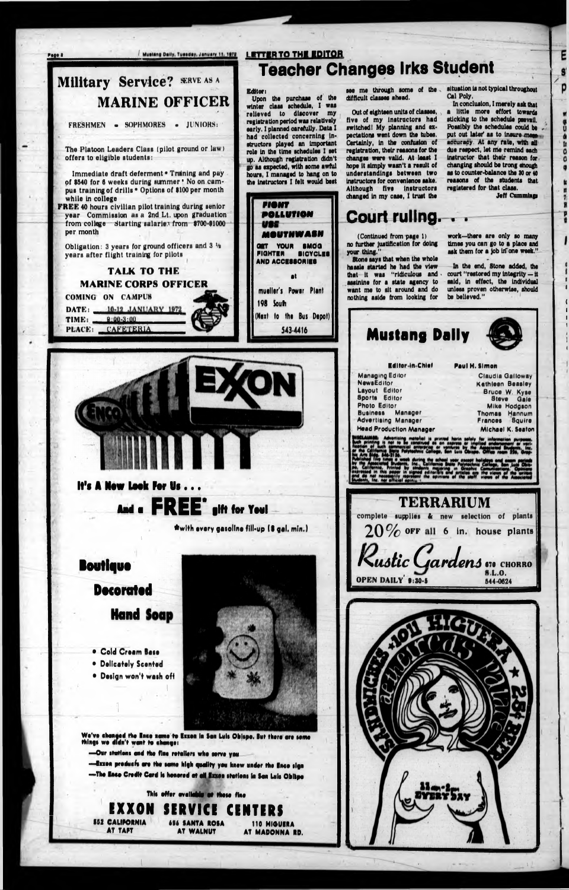

## **Hand Soap**

· Cold Cream Base · Delicately Scented · Design won't wash oft



We've changed the Ence name to Exxon in San Luis Obispo. But there are some things we didn't want to change:

-Our stations and the fine retailers who serve you

-Exxon products are the same high quality you know under the Enco sign -The Ease Credit Card is henered at all Exxen stations in San Luis Oblige

### This offer available of those fine

## EXXOR **SANTA ROSA**

**552 CALIFORNIA** AT TAFT

**110 HIGUERA AT WALNUT** AT MADONNA RD.

E

S

D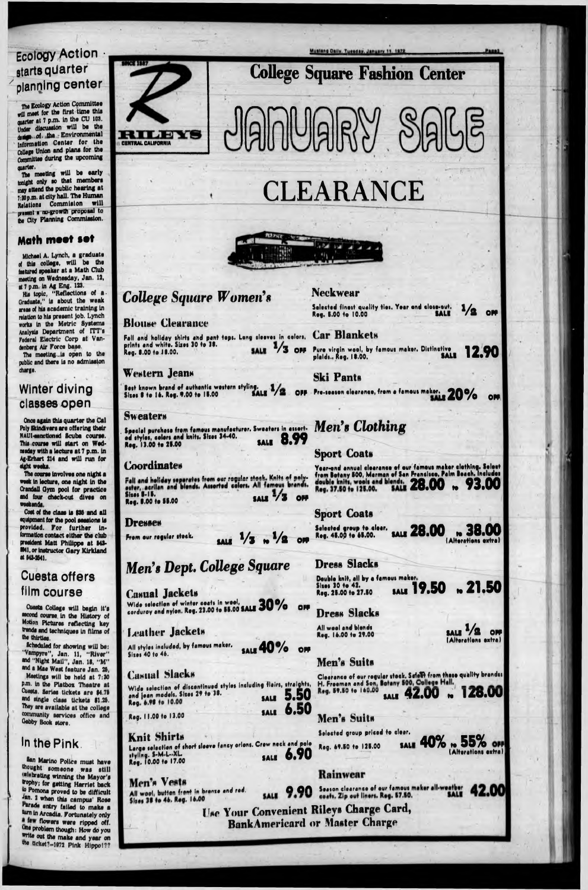/

The Ecology Action Committee will meet for the first time this quarter at 7 p.m. in the CU 103, Under discussion will be the duty.of. the Environmental **Information** Contor for tho College Union and plans for the Committee during tho upcoming quarter,

The meeting will be early tonight only so that mombors may attend tho public hearing at 7:J0p.m. at city hall. Tho Human **Relations** Commislon will present a no-growth proposal to the City Planning Commission.

## Math meet set

## **Ecology Action starts quarter planning center**

Michael A. Lynch, a graduate of this college, will be the featured speaker at a Math Club masting on Wednesday, Jan, 12, g 7 pm. In Ag Eng. 123.

The course involves one night a week In lecture, one night In the Crandall Gym pool for practice and four check-out divas on irssksnds

Cost of the class is \$35 and all equipment for the pool sessions is provided. Por further information contact either the club president Matt Philippe at 643- 8041, or instructor Gary Kirkland 4 643-2641,

His topic, "Redactions of a-Graduate," la about the weak areas of his academic training in relation to hie present Job. Lynch works in the Metric Systems Analysis Department of ITT'a Federal Electric Corp at Vandenberg Air Force base.

Ths meeting.is open to the public and there is no admission charge,

## **> \* Winter diving classes open**

Sen Merino Police must have thought someone was still inlabrating winning the Mayor's trophy; for getting Harriet back ® Pomona proved to be difficult Jan. 2 when this campus' Rose rarade entry failed to make a turn in Arcadia. Fortunately only a few flowers were ripped off. (me problem though: How do you write out the make and year on me ticket?-1972 Pink Hippo!??

Once again this quarter the Cal Poly Skindivere arc offering their NAUI-wnotioned Scuba course. This course will start on Wedneiday with a lecture at 7 p.m. In Ag-Erhart 214 and will run for •ifht weeks.

**Fell end holiday shirts and pent tops. Long sleeves in celors, CBT DIBILKCLI E rlnts end white. Slsei 30 to 31. eg. 1.00 to i 1.00.**

**lest known brand of authentic western styling. J Sizes 8 to 16. Reg. 9.00 to 15.00 SALE / Z** 

### **—\_\_\_\_\_\_ . . •** *v* Sweaters **Executive Sweaters 2008**

**Spoclol purchoso from fomous monufoeturor. Swoetors In tssorf-** *Men'\* Clothing* **ed styles, colors and knits. Sizes 34-40.** SALE 8.99 **Reg. 13.00 to 25.00** 



Cuesta College will begin it's ••cond course in the History of Motion Pictures reflecting key ifonde and techniques in films of he thirties.

Scheduled for showing will be: "Vampyre", Jan. 11, "River" •nd "Night Mail", Jan. 16, "M" •nd a Mae West feature Jan. 26, Meetings will be held at 7:30 p.m. in the Platbox Theatre at Cuesta. 8eriee tickets are 64.76 and single class tickets \$1.25. They are available at the college community services office and Gabby Book store.

**Fall and holiday separates from our regular steak. Knits of poly-**<br>ester, acrilan and blends. Assorted colors. All famous brands.<br>Sixos 5-15.<br>Red. 8.00 to 55.00 **Rog. 1.00 to 11.00**

### **Dresses**

Wide soloction of winter coats in wool, **9 A 19 Wide corduroy end nylon. Reg. 23.00 te 11.00 I A U W / • OFF**

**Doublo knit, oil by o fomous mokor Slios 30 to 42. Rog. 21.00 to 27.10 uu 19.50 + 21.50** 

| . <del>.</del> |  |  |  |  |
|----------------|--|--|--|--|
|                |  |  |  |  |

## **In the Pink, i**

 $U = \frac{1}{2}$  off **(Altoratlons outre)**

## Rainwear

**Men's Vests**<br>All wooi, butten front in brenze and red.<br>**SALE 9.90** Seats. Zip out liners. Reg. 57.50. **SALE** 

12.00 SALE

Use Your Convenient Rileys Charge Card, BankAmericard or Master Charge



Mustang Daily, Tuesday, January 11, 1972

**College Square Fashion Center**

## 55% one **(Alterations antra)**





## *College Square Women's* Neckwear

### Blouse Clearance

## **Selected fineit q Selected fineit quality ties. Year and cloie-aut. 1 / \_ Ref. S.00 to 10.00** *g* sleeves in celers, LHI DIHIIKCLE **a** 7/3 OFF Pure virgin wool, by famous maker. Distinctive 1 7 OA **plaids.. Reg. 18.00. BALI 1460 / V** Ski Pants

### Western Jeans

**OFF Fro-soason elearence, from o famous makor^ . 2 0 ° / . O OFF**

*<u>OFF</u>* 

**i**

## **Coordinates**

## Sport Coats

**LOO rainates** *More of our famous moker clothing. Select* **<b>***Year-ond annual cloorance of our famous moker clothing. Select* **- . . ... . 1 . . .....U , .Saak KalSc al aalw. from Botony 100, hdermon of Son Fronelsco, Folm leechJneludos** double knits, wools and blends. **28.00 a 93.00** 

## Sport Coats

Solooted group to clear. **SALE 28.00** ... 38.00 **salt**  $\frac{1}{3}$  to  $\frac{1}{3}$  OFF Reg. 45.00 to 65.00. SALE 40.000 to Junctions extra)

a

**From our roguler stock.**

Men's Dept. College Square Dress Slacks

Casual Jackets

## leather Jackets

**All styles included, by famous maker. Sites 40 to 46.**

## Casual Slacks

Wide selection of discontinued stylos including flairs, straights, H. Freeman and Son<br> **Wide selection of discontinued styles including flairs, straights, H. Freeman and Son Reg. 6.98 to 10.00** 

**Rog. 11.00 to 13.00**

**Large selection of short sleeve fancy orlens. Crew neck and polo Reg. 69.50 to 125.00**<br>Living. S-M-L-XL.<br>BALE 6.90 to 17.00  $s_{\text{A}}$  sale  $\mathbf{S}-\mathbf{M}$  become  $\mathbf{S}-\mathbf{M}$ **Rog. 10.00 to 17.00** , **A L I W & WALK WORK** 

Sizes 38 to 46. Reg. 16.00

## Dress Slacks

**All wool and blonds Rog. 16.00 to 29.00**

**iau40/> off**

## Men's Suits

and jean modok. Sixes 29 to 38. U L **SALE 5.50 CM 200 10 to 140 o UV** to 140 U LO. **Clearance of our regular stock. Sole & from those quality brands!**<br>H. Freeman and Son, Botany 500, College Hall.

## **BALE 6.50** Men's Suits

Knit Shirts **Selected group prised to clear.**